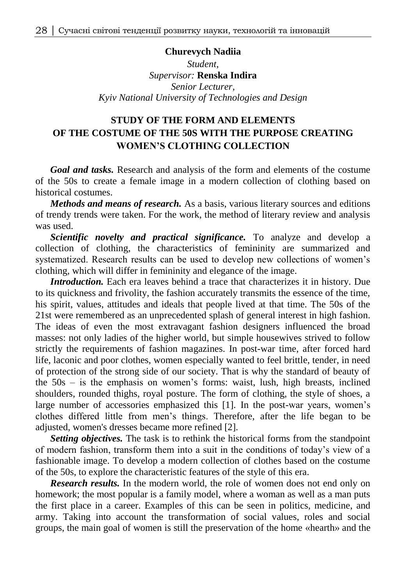## **Churevych Nadiia**

*Student, Supervisor:* **Renska Indira** *Senior Lecturer, Kyiv National University of Technologies and Design*

## **STUDY OF THE FORM AND ELEMENTS OF THE COSTUME OF THE 50S WITH THE PURPOSE CREATING WOMEN'S CLOTHING COLLECTION**

*Goal and tasks.* Research and analysis of the form and elements of the costume of the 50s to create a female image in a modern collection of clothing based on historical costumes.

*Methods and means of research.* As a basis, various literary sources and editions of trendy trends were taken. For the work, the method of literary review and analysis was used.

*Scientific novelty and practical significance.* To analyze and develop a collection of clothing, the characteristics of femininity are summarized and systematized. Research results can be used to develop new collections of women's clothing, which will differ in femininity and elegance of the image.

*Introduction*. Each era leaves behind a trace that characterizes it in history. Due to its quickness and frivolity, the fashion accurately transmits the essence of the time, his spirit, values, attitudes and ideals that people lived at that time. The 50s of the 21st were remembered as an unprecedented splash of general interest in high fashion. The ideas of even the most extravagant fashion designers influenced the broad masses: not only ladies of the higher world, but simple housewives strived to follow strictly the requirements of fashion magazines. In post-war time, after forced hard life, laconic and poor clothes, women especially wanted to feel brittle, tender, in need of protection of the strong side of our society. That is why the standard of beauty of the 50s – is the emphasis on women's forms: waist, lush, high breasts, inclined shoulders, rounded thighs, royal posture. The form of clothing, the style of shoes, a large number of accessories emphasized this [1]. In the post-war years, women's clothes differed little from men's things. Therefore, after the life began to be adjusted, women's dresses became more refined [2].

*Setting objectives.* The task is to rethink the historical forms from the standpoint of modern fashion, transform them into a suit in the conditions of today's view of a fashionable image. To develop a modern collection of clothes based on the costume of the 50s, to explore the characteristic features of the style of this era.

*Research results.* In the modern world, the role of women does not end only on homework; the most popular is a family model, where a woman as well as a man puts the first place in a career. Examples of this can be seen in politics, medicine, and army. Taking into account the transformation of social values, roles and social groups, the main goal of women is still the preservation of the home «hearth» and the